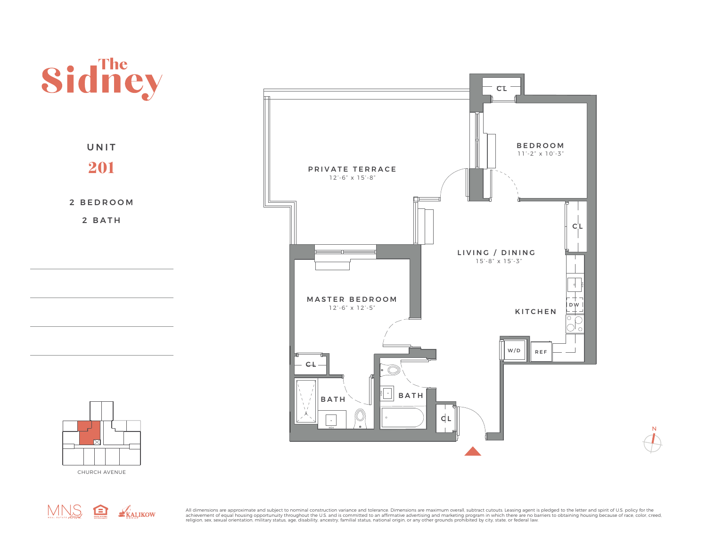

CHURCH AVENUE



All dimensions are approximate and subject to nominal construction variance and tolerance. Dimensions are maximum overall, subtract cutouts. Leasing agent is pledged to the letter and spirit of U.S. policy for the achievement of equal housing opportunuity throughout the U.S. and is committed to an affirmative advertising and marketing program in which there are no barriers to obtaining housing because of race, color, creed,<br>religion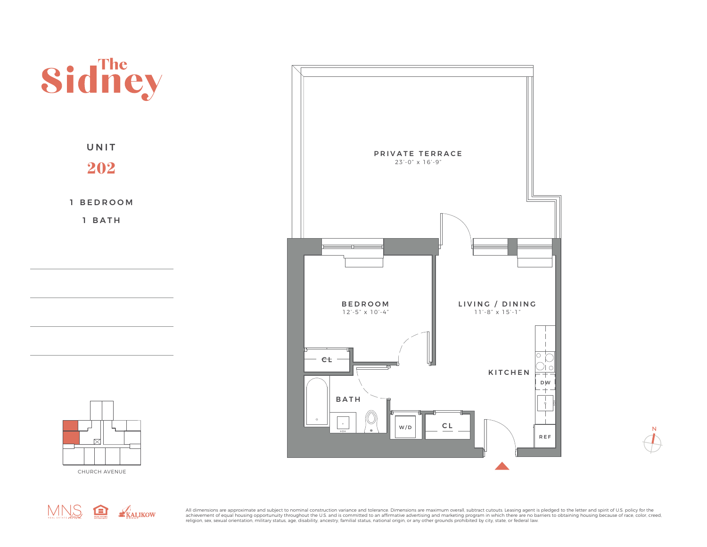



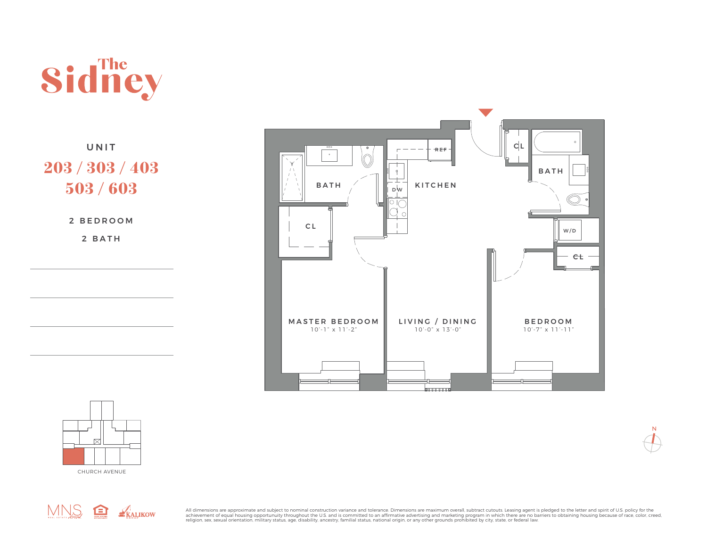

UNIT 203 / 303 / 403 503 / 603

2 BEDROOM

2 BATH









All dimensions are approximate and subject to nominal construction variance and tolerance. Dimensions are maximum overall, subtract cutouts. Leasing agent is pledged to the letter and spirit of U.S. policy for the achievement of equal housing opportunuity throughout the U.S. and is committed to an affirmative advertising and marketing program in which there are no barriers to obtaining housing because of race, color, creed,<br>religion

 ${\mathsf N}$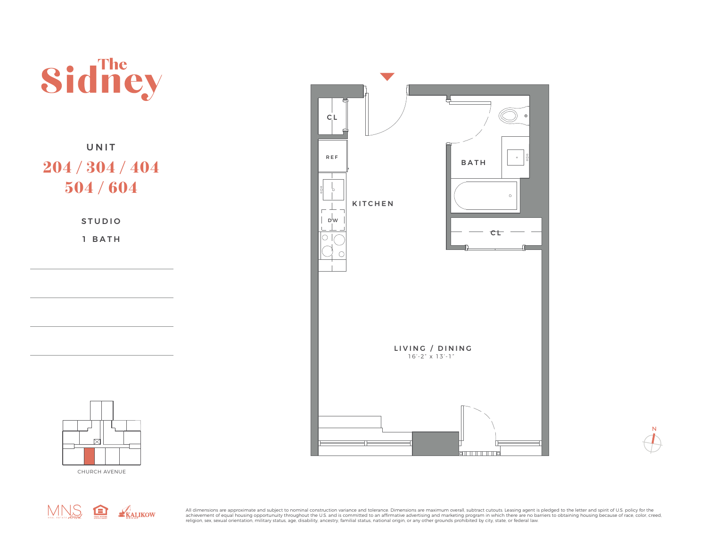

 ${\sf N}$ 



CHURCH AVENUE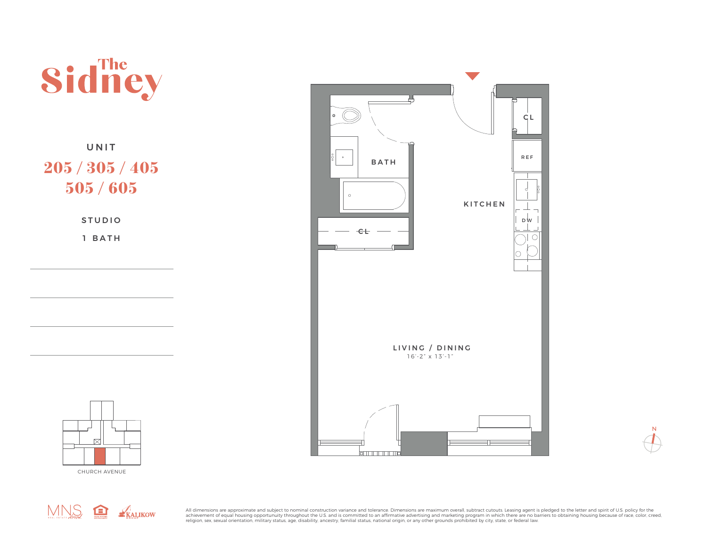





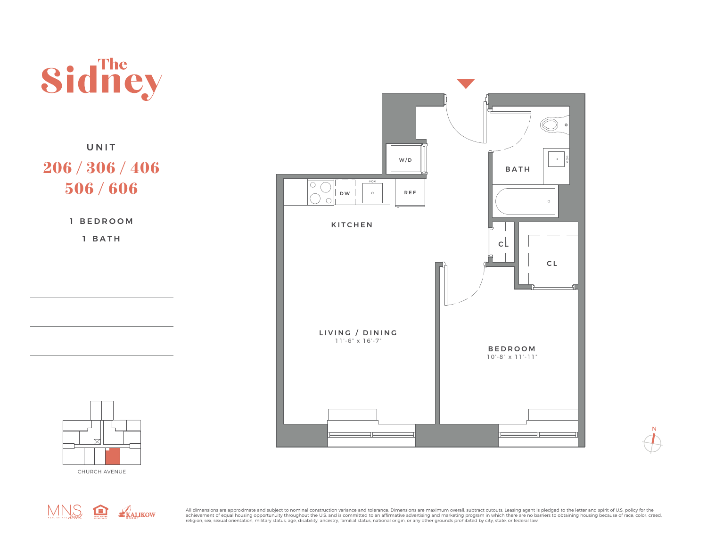

## UNIT 206 / 306 / 406 506 / 606

1 BEDROOM

1 BATH





CHURCH AVENUE



All dimensions are approximate and subject to nominal construction variance and tolerance. Dimensions are maximum overall, subtract cutouts. Leasing agent is pledged to the letter and spirit of U.S. policy for the achievement of equal housing opportunuity throughout the U.S. and is committed to an affirmative advertising and marketing program in which there are no barriers to obtaining housing because of race, color, creed,<br>religion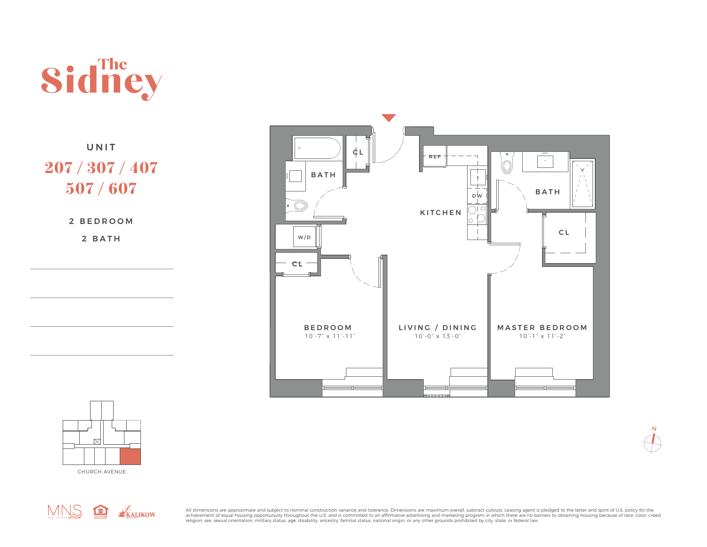

UNIT 207 / 307 / 407 507 / 607

2 BEDROOM

2 BATH





CHURCH AVENUE



All dimensions are approximate and subject to nominal construction variance and tolerance. Dimensions are maximum overall, subtract cutouts. Leasing agent is pledged to the letter and spirit of U.S. policy for the achievement of equal housing opportunuity throughout the U.S. and is committed to an affirmative advertising and marketing program in which there are no barriers to obtaining housing because of race, color, creed,<br>religion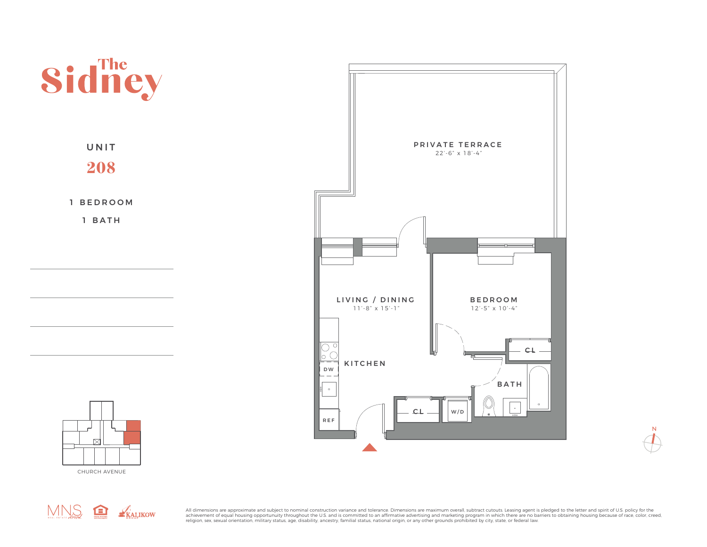





CHURCH AVENUE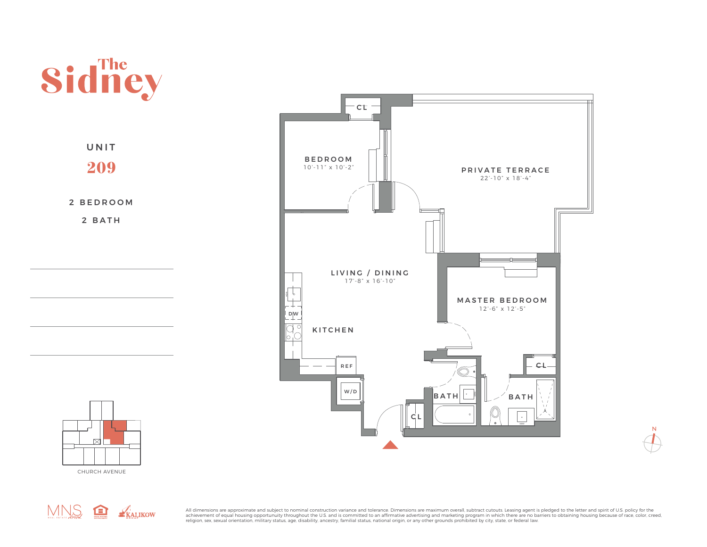





 $\mathsf N$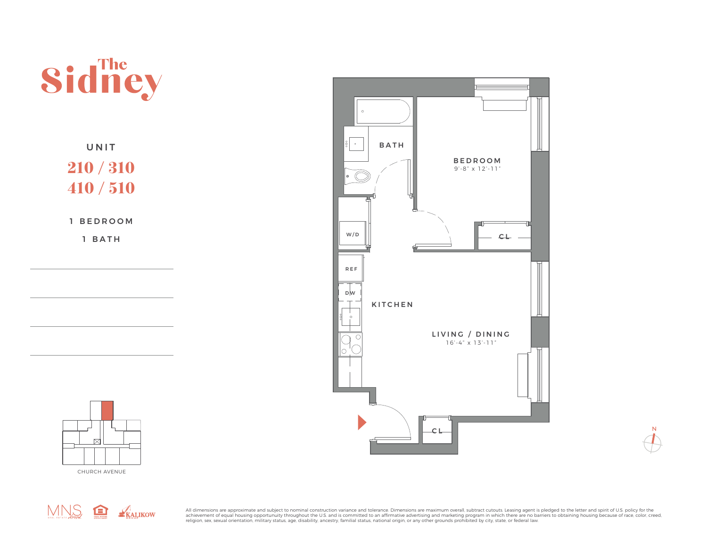

UNIT 210 / 310 410 / 510

1 BEDROOM

1 BATH







All dimensions are approximate and subject to nominal construction variance and tolerance. Dimensions are maximum overall, subtract cutouts. Leasing agent is pledged to the letter and spirit of U.S. policy for the achievement of equal housing opportunuity throughout the U.S. and is committed to an affirmative advertising and marketing program in which there are no barriers to obtaining housing because of race, color, creed,<br>religion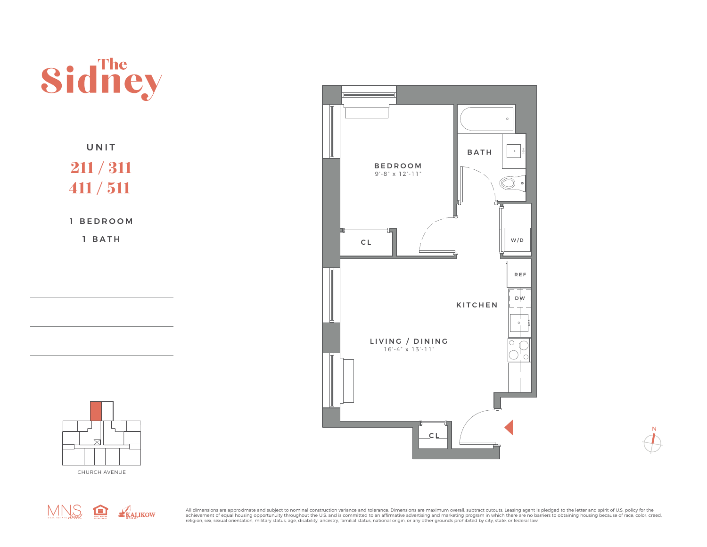





MNS REALIKOW

All dimensions are approximate and subject to nominal construction variance and tolerance. Dimensions are maximum overall, subtract cutouts. Leasing agent is pledged to the letter and spirit of U.S. policy for the achievement of equal housing opportunuity throughout the U.S. and is committed to an affirmative advertising and marketing program in which there are no barriers to obtaining housing because of race, color, creed,<br>religion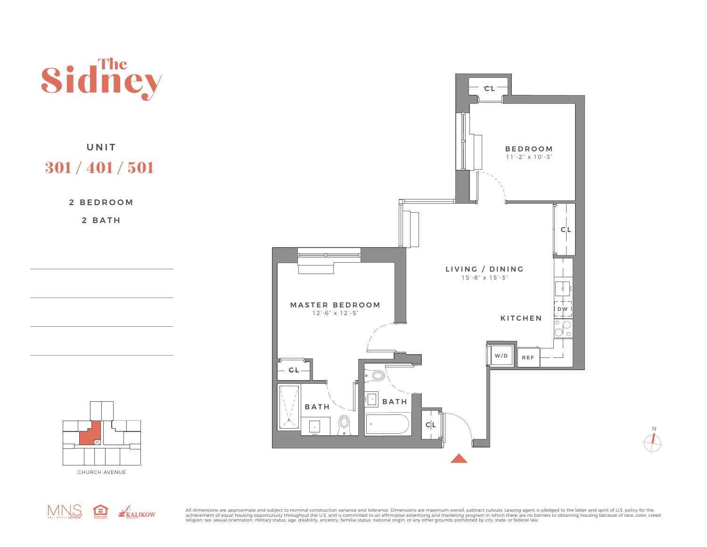

MNS RALIKOW

CHURCH AVENUE

All dimensions are approximate and subject to nominal construction variance and tolerance. Dimensions are maximum overall, subtract cutouts. Leasing agent is pledged to the letter and spirit of U.S. policy for the achievement of equal housing opportunuity throughout the U.S. and is committed to an affirmative advertising and marketing program in which there are no barriers to obtaining housing because of race, color, creed,<br>religion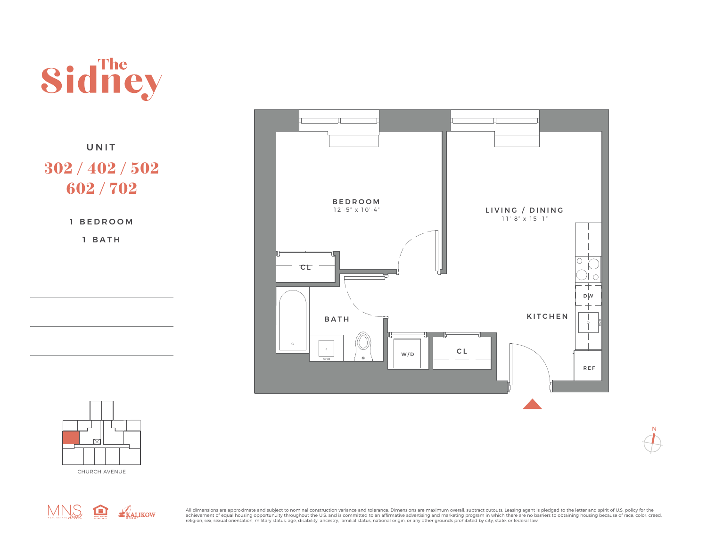

UNIT 302 / 402 / 502 602 / 702

1 BATH





 ${\sf N}$ 

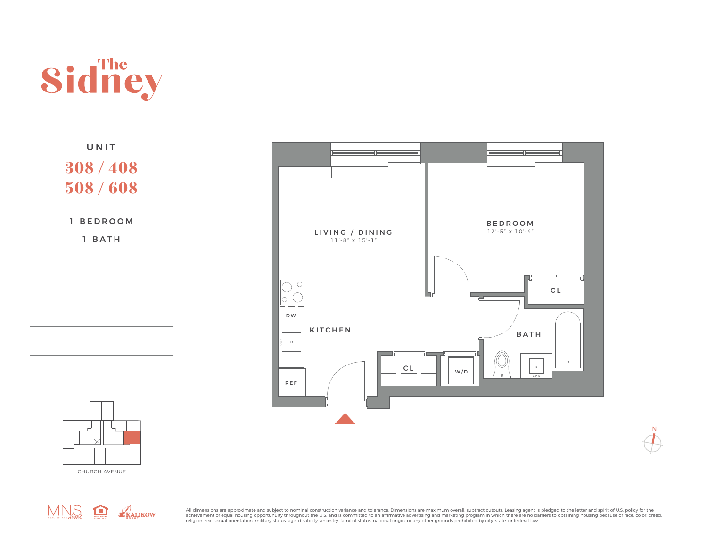

UNIT 308 / 408 508 / 608

1 BEDROOM

1 BATH



 ${\sf N}$ 



MNS <del>Q</del> KALIKOW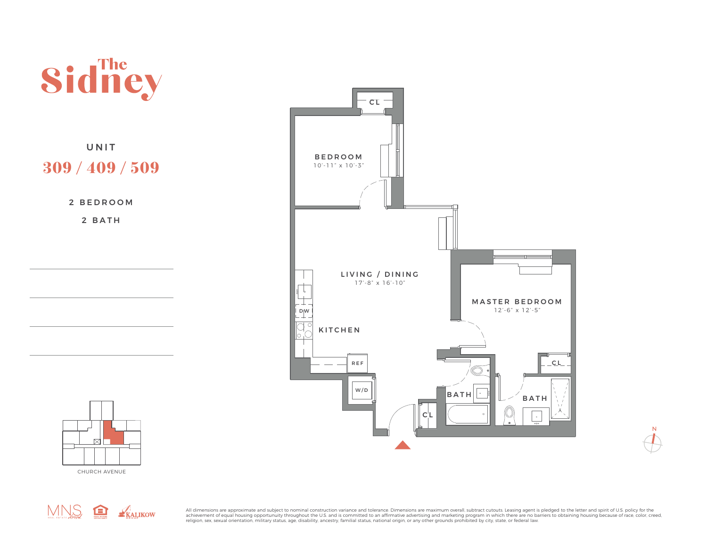

 ${\bf N}$ 



CHURCH AVENUE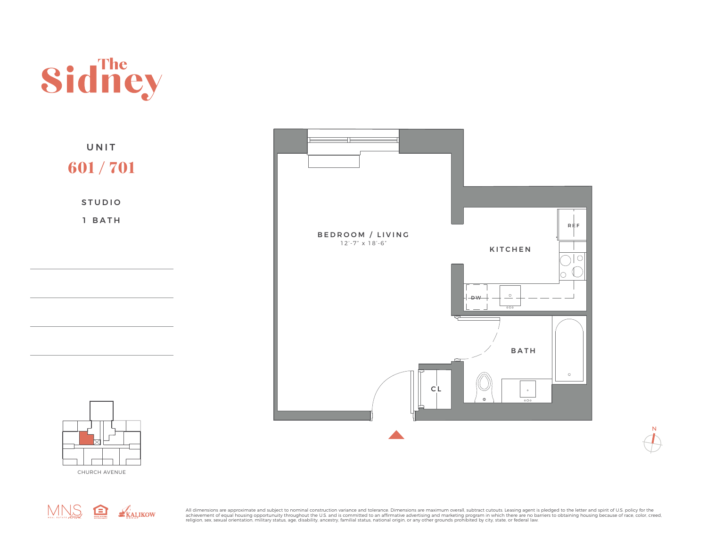







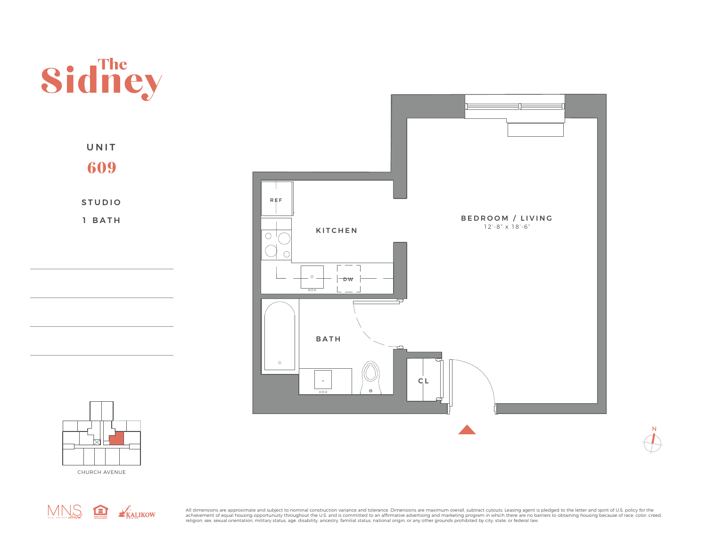

UNIT 609

STUDIO 1 BATH





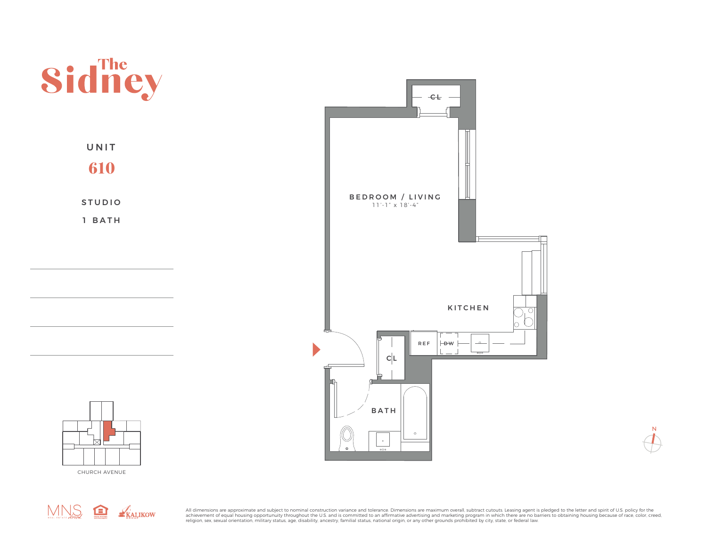

MNS REALIKOW

All dimensions are approximate and subject to nominal construction variance and tolerance. Dimensions are maximum overall, subtract cutouts. Leasing agent is pledged to the letter and spirit of U.S. policy for the achievement of equal housing opportunuity throughout the U.S. and is committed to an affirmative advertising and marketing program in which there are no barriers to obtaining housing because of race, color, creed,<br>religion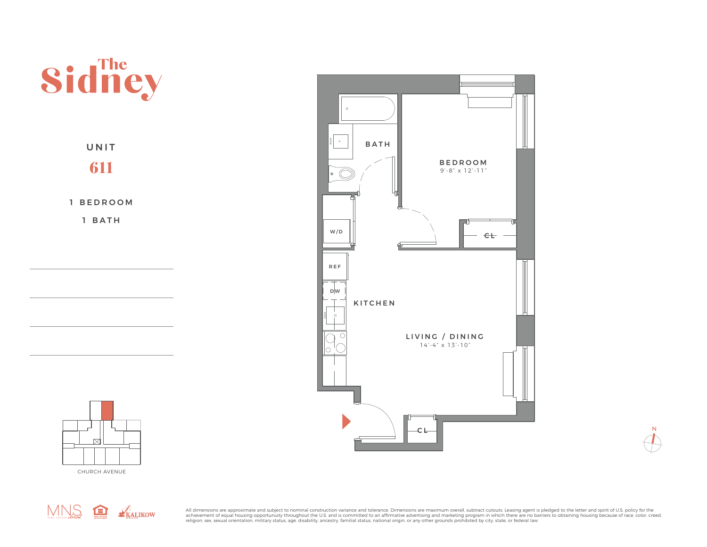





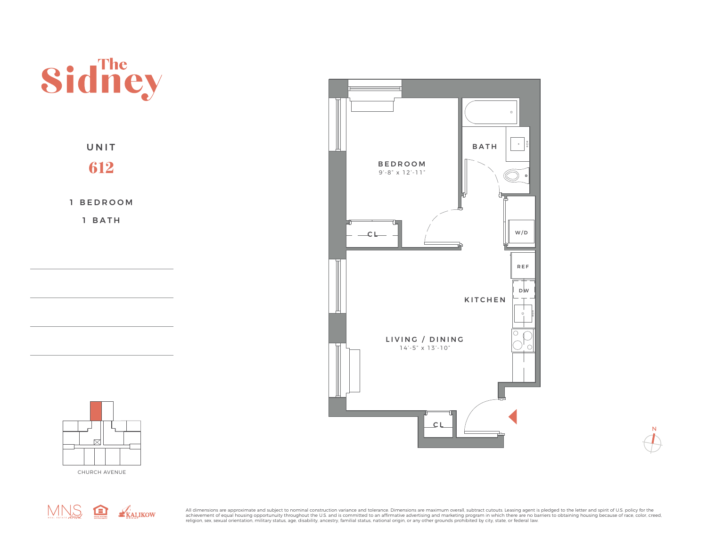





MNS REALIKOW

All dimensions are approximate and subject to nominal construction variance and tolerance. Dimensions are maximum overall, subtract cutouts. Leasing agent is pledged to the letter and spirit of U.S. policy for the achievement of equal housing opportunuity throughout the U.S. and is committed to an affirmative advertising and marketing program in which there are no barriers to obtaining housing because of race, color, creed,<br>religion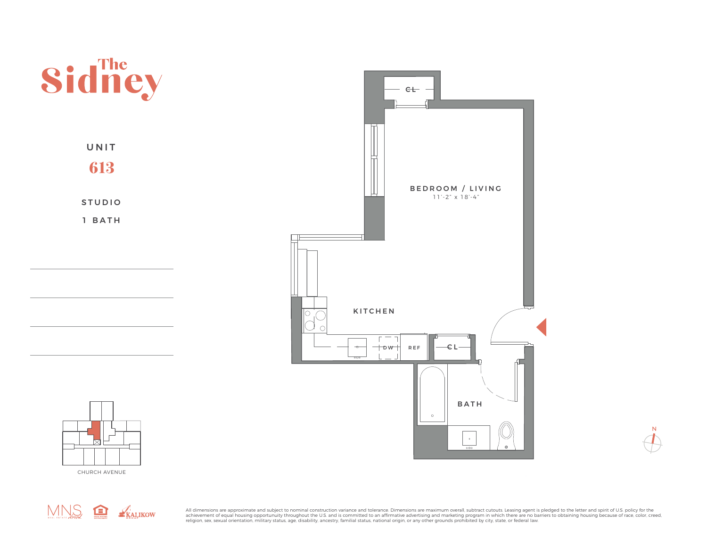





CHURCH AVENUE

All dimensions are approximate and subject to nominal construction variance and tolerance. Dimensions are maximum overall, subtract cutouts. Leasing agent is pledged to the letter and spirit of U.S. policy for the achievement of equal housing opportunuity throughout the U.S. and is committed to an affirmative advertising and marketing program in which there are no barriers to obtaining housing because of race, color, creed,<br>religion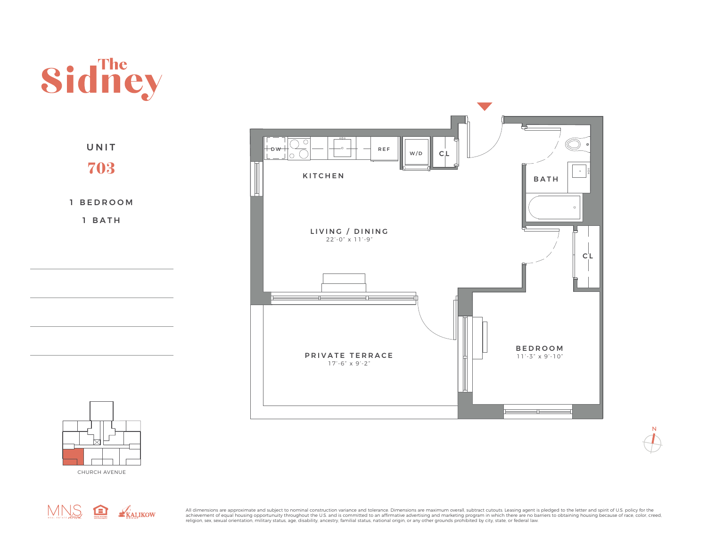



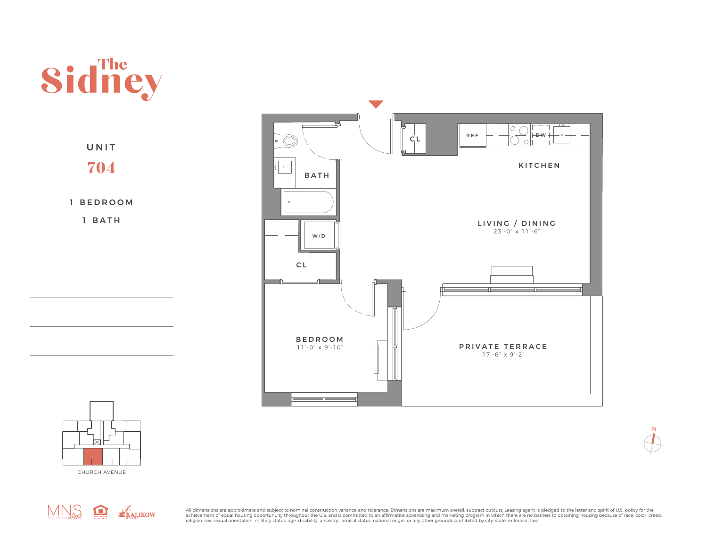





KITCHEN

 ${\sf N}$ 

 $\bigcirc$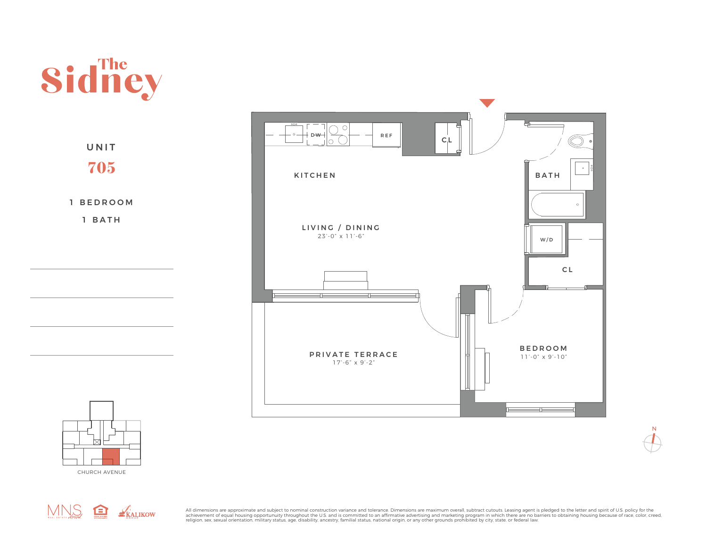



CHURCH AVENUE



All dimensions are approximate and subject to nominal construction variance and tolerance. Dimensions are maximum overall, subtract cutouts. Leasing agent is pledged to the letter and spirit of U.S. policy for the achievement of equal housing opportunuity throughout the U.S. and is committed to an affirmative advertising and marketing program in which there are no barriers to obtaining housing because of race, color, creed,<br>religion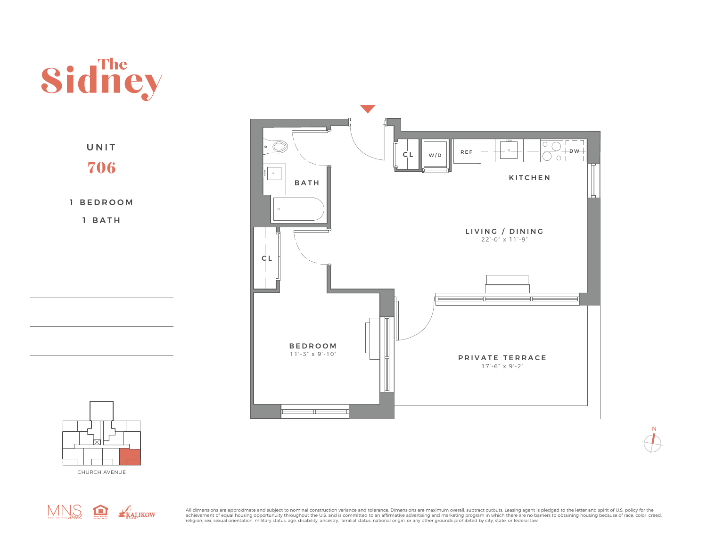



CHURCH AVENUE



All dimensions are approximate and subject to nominal construction variance and tolerance. Dimensions are maximum overall, subtract cutouts. Leasing agent is pledged to the letter and spirit of U.S. policy for the achievement of equal housing opportunuity throughout the U.S. and is committed to an affirmative advertising and marketing program in which there are no barriers to obtaining housing because of race, color, creed,<br>religion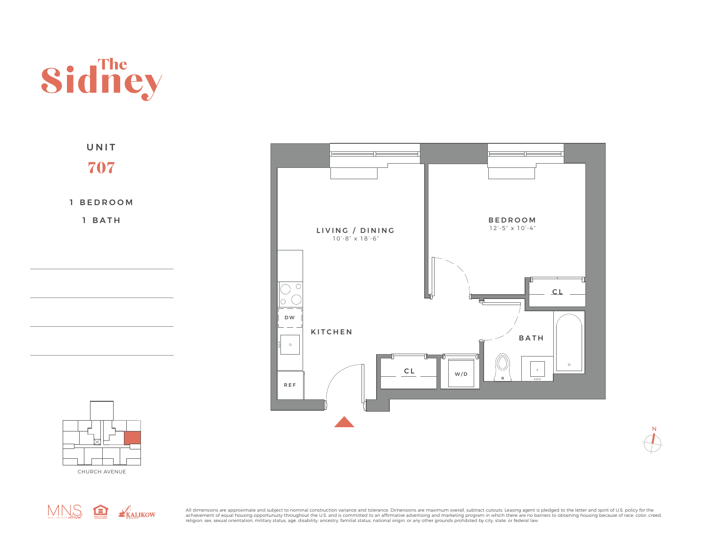

1 BEDROOM 1 BATH UNIT 707



 ${\bf N}$ 



MNS <del>Q</del> KALIKOW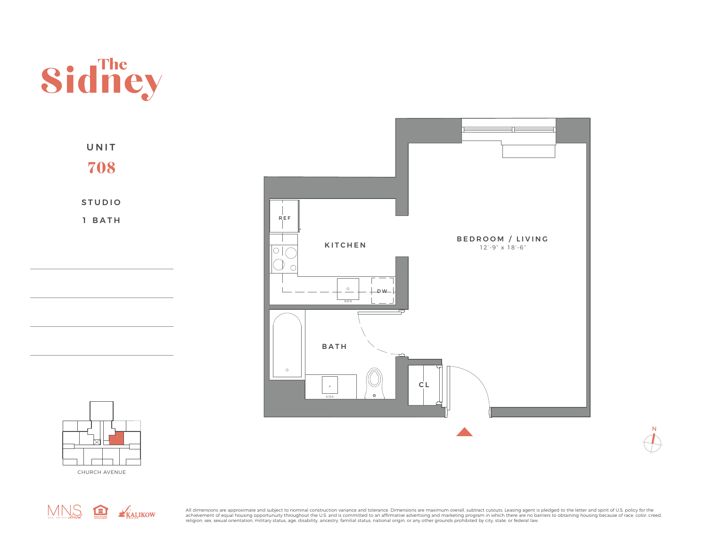

STUDIO UNIT 708

1 BATH





MNS REALIKOW

All dimensions are approximate and subject to nominal construction variance and tolerance. Dimensions are maximum overall, subtract cutouts. Leasing agent is pledged to the letter and spirit of U.S. policy for the achievement of equal housing opportunuity throughout the U.S. and is committed to an affirmative advertising and marketing program in which there are no barriers to obtaining housing because of race, color, creed,<br>religion

 $\mathsf N$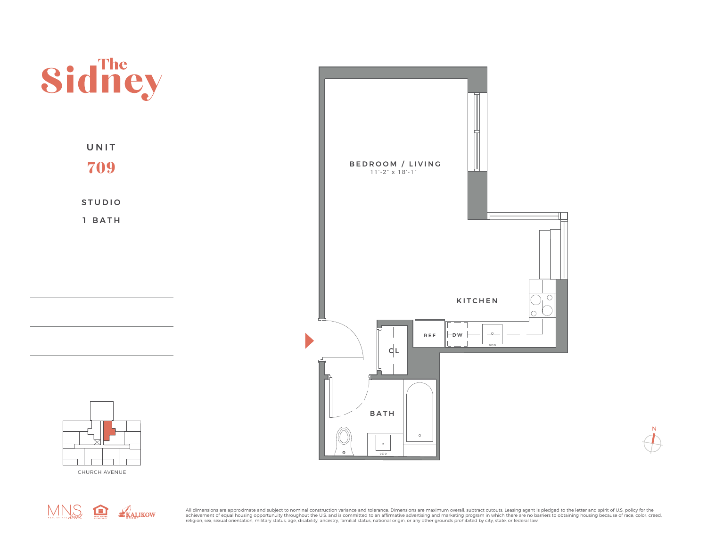